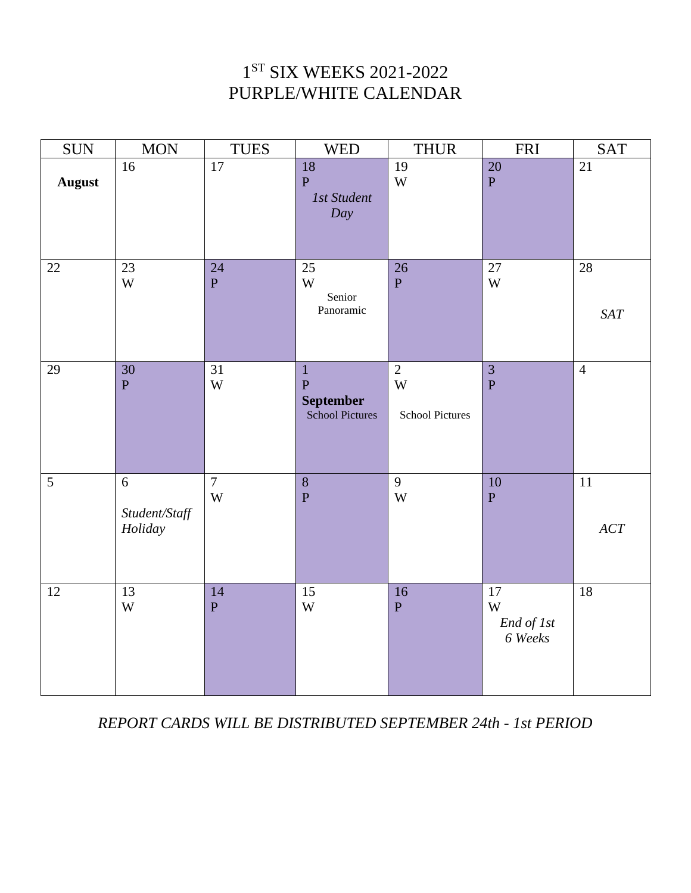# 1ST SIX WEEKS 2021-2022 PURPLE/WHITE CALENDAR

| <b>SUN</b>     | <b>MON</b>                        | <b>TUES</b>                               | <b>WED</b>                                                         | <b>THUR</b>                                   | <b>FRI</b>                       | SAT               |
|----------------|-----------------------------------|-------------------------------------------|--------------------------------------------------------------------|-----------------------------------------------|----------------------------------|-------------------|
| <b>August</b>  | $\overline{16}$                   | $\overline{17}$                           | 18<br>$\overline{P}$<br><b>1st Student</b><br>Day                  | 19<br>W                                       | 20<br>$\overline{P}$             | 21                |
| 22             | 23<br>W                           | 24<br>$\overline{P}$                      | 25<br>W<br>Senior<br>Panoramic                                     | 26<br>$\mathbf{P}$                            | 27<br>$\ensuremath{\text{W}}$    | 28<br>SAT         |
| 29             | $\overline{30}$<br>$\overline{P}$ | 31<br>$\ensuremath{\text{W}}$             | $\mathbf{1}$<br>$\mathbf P$<br><b>September</b><br>School Pictures | $\overline{2}$<br>W<br><b>School Pictures</b> | $\overline{3}$<br>$\overline{P}$ | $\overline{4}$    |
| $\overline{5}$ | 6<br>Student/Staff<br>Holiday     | $\overline{7}$<br>$\ensuremath{\text{W}}$ | $\overline{8}$<br>${\bf P}$                                        | 9<br>W                                        | 10<br>${\bf P}$                  | 11<br>$\cal{ACT}$ |
| 12             | 13<br>W                           | 14<br>$\overline{P}$                      | 15<br>$\ensuremath{\text{W}}$                                      | 16<br>$\mathbf{P}$                            | 17<br>W<br>End of 1st<br>6 Weeks | 18                |

*REPORT CARDS WILL BE DISTRIBUTED SEPTEMBER 24th - 1st PERIOD*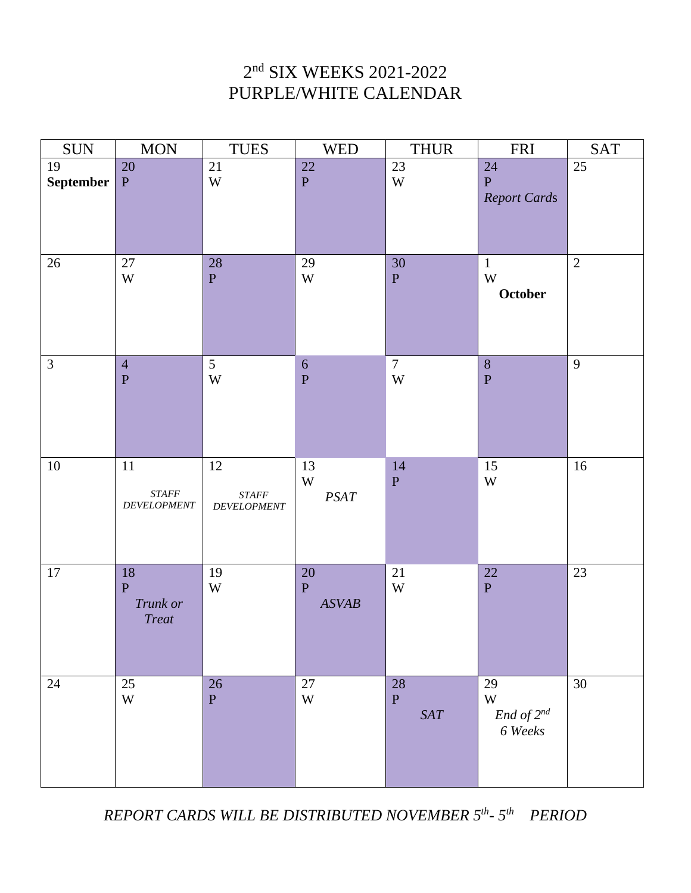# 2nd SIX WEEKS 2021-2022 PURPLE/WHITE CALENDAR

| <b>SUN</b>            | $\rm{MON}$                                         | <b>TUES</b>                                | <b>WED</b>                        | <b>THUR</b>                   | <b>FRI</b>                                         | SAT        |
|-----------------------|----------------------------------------------------|--------------------------------------------|-----------------------------------|-------------------------------|----------------------------------------------------|------------|
| 19<br>September $ P $ | 20                                                 | $21\,$<br>$\ensuremath{\text{W}}$          | 22<br>$\mathbf P$                 | 23<br>$\ensuremath{\text{W}}$ | 24<br>$\, {\bf P}$<br><b>Report Cards</b>          | $25\,$     |
| 26                    | 27<br>W                                            | $28\,$<br>$\, {\bf P}$                     | 29<br>W                           | 30<br>${\bf P}$               | $\mathbf{1}$<br>$\ensuremath{\text{W}}$<br>October | $\sqrt{2}$ |
| $\mathfrak{Z}$        | $\overline{4}$<br>${\bf P}$                        | 5<br>$\ensuremath{\text{W}}$               | $\sqrt{6}$<br>$\mathbf P$         | $\overline{7}$<br>$\mathbf W$ | $\, 8$<br>$\mathbf{P}$                             | 9          |
| $10\,$                | 11<br>$\emph{STATE}$<br>$\label{eq:2} DEVELOPMENT$ | 12<br>$\emph{STATE}$<br><b>DEVELOPMENT</b> | 13<br>W<br>$PSAT$                 | $14$<br>${\bf P}$             | 15<br>$\ensuremath{\text{W}}$                      | 16         |
| $17\,$                | 18<br>${\bf P}$<br>Trunk or<br><b>Treat</b>        | 19<br>W                                    | $20\,$<br>$\mathbf{P}$<br>ASVAB   | 21<br>$\ensuremath{\text{W}}$ | $\overline{22}$<br>$\, {\bf P}$                    | 23         |
| $24\,$                | 25<br>$\mathbf W$                                  | 26<br>$\overline{P}$                       | $27\,$<br>$\ensuremath{\text{W}}$ | $28\,$<br>$\mathbf P$<br>SAT  | 29<br>$\mathbf W$<br>$End of 2nd$<br>6 Weeks       | 30         |

*REPORT CARDS WILL BE DISTRIBUTED NOVEMBER 5th- 5th PERIOD*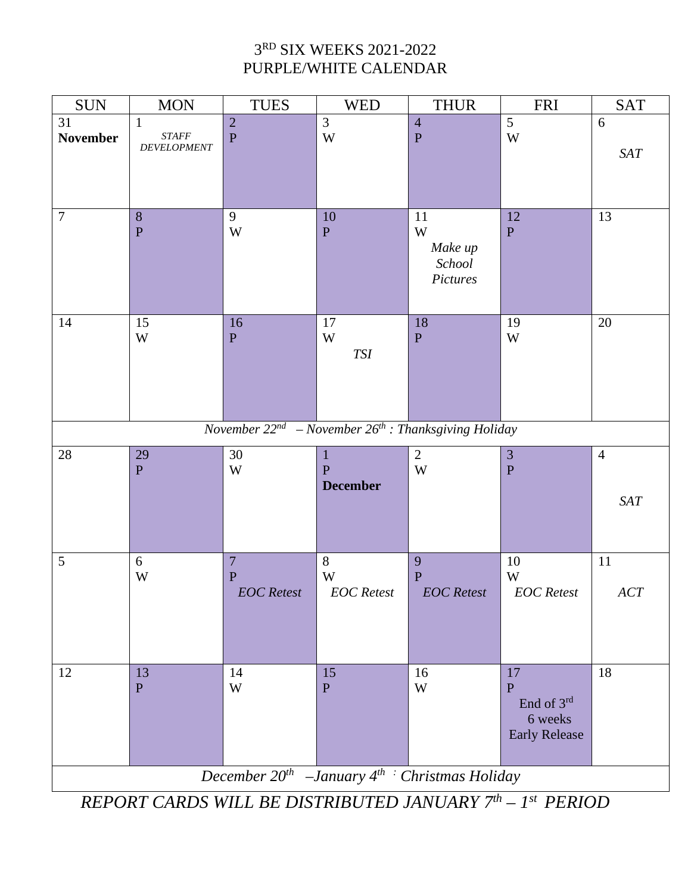#### 3RD SIX WEEKS 2021-2022 PURPLE/WHITE CALENDAR

| <b>SUN</b>                                             | <b>MON</b>                                           | <b>TUES</b>                                                                       | <b>WED</b>                                | <b>THUR</b>                              | <b>FRI</b>                                                            | <b>SAT</b>                |  |
|--------------------------------------------------------|------------------------------------------------------|-----------------------------------------------------------------------------------|-------------------------------------------|------------------------------------------|-----------------------------------------------------------------------|---------------------------|--|
| 31<br><b>November</b>                                  | $\mathbf{1}$<br>$\emph{STATE}$<br><b>DEVELOPMENT</b> | $\frac{2}{P}$                                                                     | $\overline{3}$<br>$\ensuremath{\text{W}}$ | $\overline{4}$<br>${\bf P}$              | $\overline{5}$<br>$\ensuremath{\text{W}}$                             | 6<br>$\operatorname{SAT}$ |  |
| $\boldsymbol{7}$                                       | $\,8\,$<br>$\mathbf{P}$                              | 9<br>W                                                                            | $10\,$<br>$\, {\bf P}$                    | 11<br>W<br>Make up<br>School<br>Pictures | 12<br>$\mathbf{P}$                                                    | 13                        |  |
| 14                                                     | 15<br>W                                              | 16<br>${\bf P}$<br>November $22^{nd}$ – November $26^{th}$ : Thanksgiving Holiday | $17\,$<br>W<br>$\mathit{TSI}$             | 18<br>$\mathbf P$                        | 19<br>W                                                               | 20                        |  |
| $28\,$                                                 | 29                                                   | 30                                                                                | 1                                         | $\overline{2}$                           | $\mathfrak{Z}$                                                        | $\overline{4}$            |  |
|                                                        | ${\bf P}$                                            | W                                                                                 | $\overline{P}$<br><b>December</b>         | W                                        | $\overline{P}$                                                        | SAT                       |  |
| 5                                                      | $\sqrt{6}$<br>W                                      | $\overline{7}$<br>$\mathbf{P}$<br><b>EOC</b> Retest                               | $8\,$<br>W<br><b>EOC</b> Retest           | 9<br>${\bf P}$<br><b>EOC</b> Retest      | $10\,$<br>W<br><b>EOC</b> Retest                                      | 11<br>$\cal{ACT}$         |  |
| 12                                                     | 13<br>$\overline{P}$                                 | 14<br>W                                                                           | 15<br>$\overline{P}$                      | 16<br>W                                  | 17<br>$\overline{P}$<br>End of 3rd<br>6 weeks<br><b>Early Release</b> | 18                        |  |
| December $20^{th}$ -January $4^{th}$ Christmas Holiday |                                                      |                                                                                   |                                           |                                          |                                                                       |                           |  |

*REPORT CARDS WILL BE DISTRIBUTED JANUARY 7th – 1st PERIOD*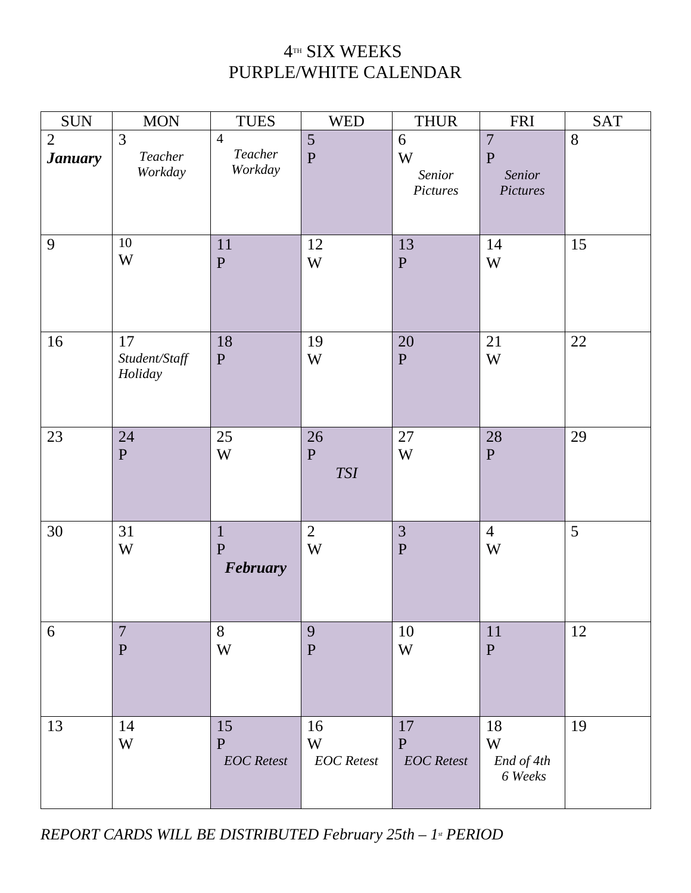### $4$ TH SIX WEEKS PURPLE/WHITE CALENDAR

| <b>SUN</b>                       | <b>MON</b>                     | <b>TUES</b>                             | <b>WED</b>                       | <b>THUR</b>                          | <b>FRI</b>                                             | <b>SAT</b> |
|----------------------------------|--------------------------------|-----------------------------------------|----------------------------------|--------------------------------------|--------------------------------------------------------|------------|
| $\overline{2}$<br><b>January</b> | 3<br>Teacher<br>Workday        | $\overline{4}$<br>Teacher<br>Workday    | $\overline{5}$<br>$\overline{P}$ | 6<br>W<br>Senior<br>Pictures         | $\overline{7}$<br>$\mathbf{P}$<br>Senior<br>Pictures   | 8          |
| 9                                | 10<br>W                        | 11<br>${\bf P}$                         | 12<br>W                          | 13<br>${\bf P}$                      | 14<br>W                                                | 15         |
| 16                               | 17<br>Student/Staff<br>Holiday | 18<br>${\bf P}$                         | 19<br>W                          | 20<br>${\bf P}$                      | 21<br>W                                                | $22\,$     |
| 23                               | 24<br>$\mathbf{P}$             | 25<br>$\ensuremath{\text{W}}$           | 26<br>${\bf P}$<br><b>TSI</b>    | 27<br>W                              | 28<br>$\mathbf{P}$                                     | 29         |
| 30                               | 31<br>$\mathbf W$              | $\mathbf{1}$<br>$\mathbf P$<br>February | $\overline{2}$<br>$\mathbf W$    | $\overline{3}$<br>$\mathbf P$        | $\overline{4}$<br>$\ensuremath{\text{W}}$              | 5          |
| 6                                | $\overline{7}$<br>$\mathbf P$  | 8<br>$\ensuremath{\text{W}}$            | 9<br>$\mathbf P$                 | 10<br>W                              | 11<br>$\mathbf{P}$                                     | 12         |
| 13                               | 14<br>W                        | 15<br>${\bf P}$<br><b>EOC</b> Retest    | 16<br>W<br><b>EOC</b> Retest     | 17<br>${\bf P}$<br><b>EOC</b> Retest | 18<br>$\ensuremath{\text{W}}$<br>End of 4th<br>6 Weeks | 19         |

*REPORT CARDS WILL BE DISTRIBUTED February 25th – 1st PERIOD*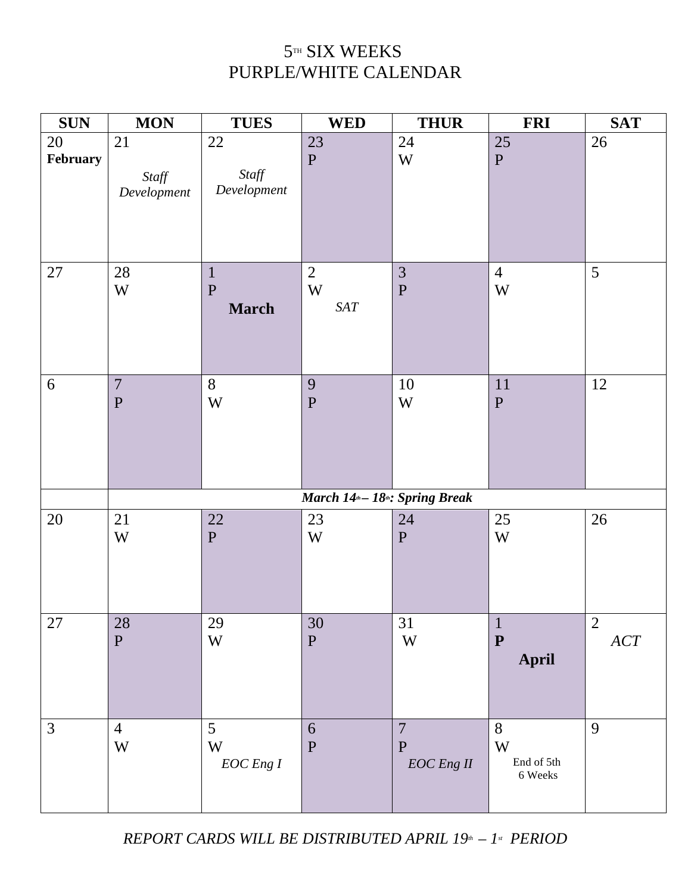# $5^{\text{\tiny{TH}}}$  SIX WEEKS PURPLE/WHITE CALENDAR

| <b>SUN</b>     | <b>MON</b>                                | <b>TUES</b>                                  | <b>WED</b>                                               | <b>THUR</b>                                    | <b>FRI</b>                        | <b>SAT</b>     |
|----------------|-------------------------------------------|----------------------------------------------|----------------------------------------------------------|------------------------------------------------|-----------------------------------|----------------|
| 20<br>February | 21<br>Staff<br>Development                | $22\,$<br>Staff<br>Development               | 23<br>$\mathbf{P}$                                       | 24<br>$\ensuremath{\text{W}}$                  | 25<br>${\bf P}$                   | 26             |
| 27             | $28\,$<br>W                               | $\mathbf{1}$<br>$\mathbf{P}$<br><b>March</b> | $\overline{2}$<br>W<br>SAT                               | $\mathfrak{Z}$<br>$\mathbf P$                  | $\overline{4}$<br>W               | $\mathfrak{S}$ |
| 6              | $\overline{7}$<br>$\mathbf P$             | 8<br>W                                       | 9<br>${\bf P}$                                           | $10\,$<br>W                                    | 11<br>${\bf P}$                   | 12             |
|                |                                           |                                              | March 14 <sup>th</sup> – 18 <sup>th</sup> : Spring Break |                                                |                                   |                |
| 20             | 21<br>W                                   | 22<br>${\bf P}$                              | 23<br>W                                                  | $24\,$<br>$\mathbf{P}$                         | 25<br>$\ensuremath{\text{W}}$     | 26             |
| $27\,$         | 28<br>${\bf P}$                           | 29<br>$\ensuremath{\text{W}}$                | 30<br>${\bf P}$                                          | 31<br>W                                        | $\mathbf 1$<br>${\bf P}$<br>April | 2<br>ACT       |
| 3              | $\overline{4}$<br>$\ensuremath{\text{W}}$ | 5<br>W<br>$EOC$ Eng $I$                      | 6<br>${\bf P}$                                           | $\overline{7}$<br>$\mathbf{P}$<br>$EOC$ Eng II | 8<br>W<br>End of 5th<br>6 Weeks   | 9              |